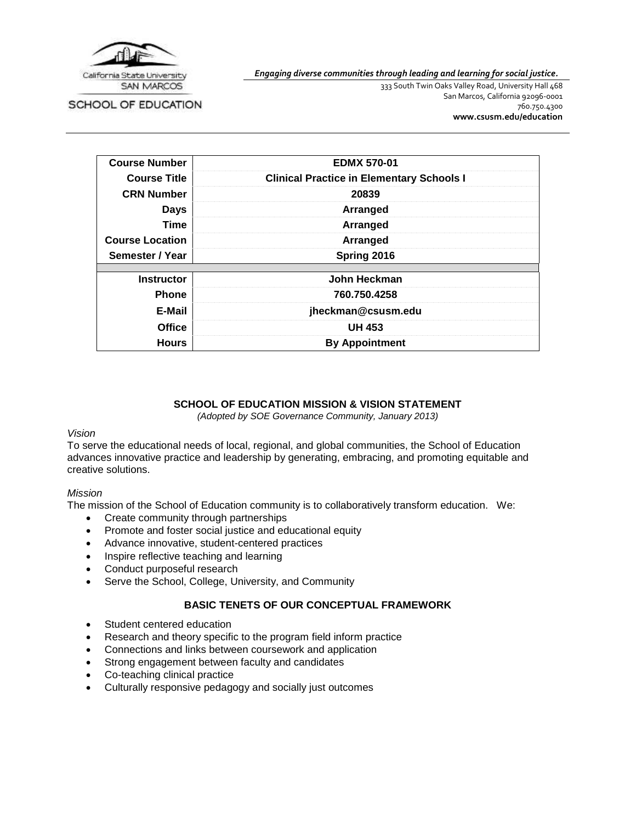

SCHOOL OF EDUCATION

*Engaging diverse communities through leading and learning for social justice.*

333 South Twin Oaks Valley Road, University Hall 468 San Marcos, California 92096-0001 760.750.4300 **[www.csusm.edu/education](http://www.csusm.edu/education)**

| <b>Course Number</b>   | <b>EDMX 570-01</b>                               |
|------------------------|--------------------------------------------------|
| <b>Course Title</b>    | <b>Clinical Practice in Elementary Schools I</b> |
| <b>CRN Number</b>      | 20839                                            |
| <b>Days</b>            | Arranged                                         |
| <b>Time</b>            | Arranged                                         |
| <b>Course Location</b> | Arranged                                         |
| Semester / Year        | Spring 2016                                      |
| <b>Instructor</b>      | John Heckman                                     |
| <b>Phone</b>           | 760.750.4258                                     |
| E-Mail                 | jheckman@csusm.edu                               |
| <b>Office</b>          | <b>UH 453</b>                                    |
| <b>Hours</b>           | <b>By Appointment</b>                            |

## **SCHOOL OF EDUCATION MISSION & VISION STATEMENT**

*(Adopted by SOE Governance Community, January 2013)*

### *Vision*

To serve the educational needs of local, regional, and global communities, the School of Education advances innovative practice and leadership by generating, embracing, and promoting equitable and creative solutions.

### *Mission*

The mission of the School of Education community is to collaboratively transform education. We:

- Create community through partnerships
- Promote and foster social justice and educational equity
- Advance innovative, student-centered practices
- Inspire reflective teaching and learning
- Conduct purposeful research
- Serve the School, College, University, and Community

# **BASIC TENETS OF OUR CONCEPTUAL FRAMEWORK**

- Student centered education
- Research and theory specific to the program field inform practice
- Connections and links between coursework and application
- Strong engagement between faculty and candidates
- Co-teaching clinical practice
- Culturally responsive pedagogy and socially just outcomes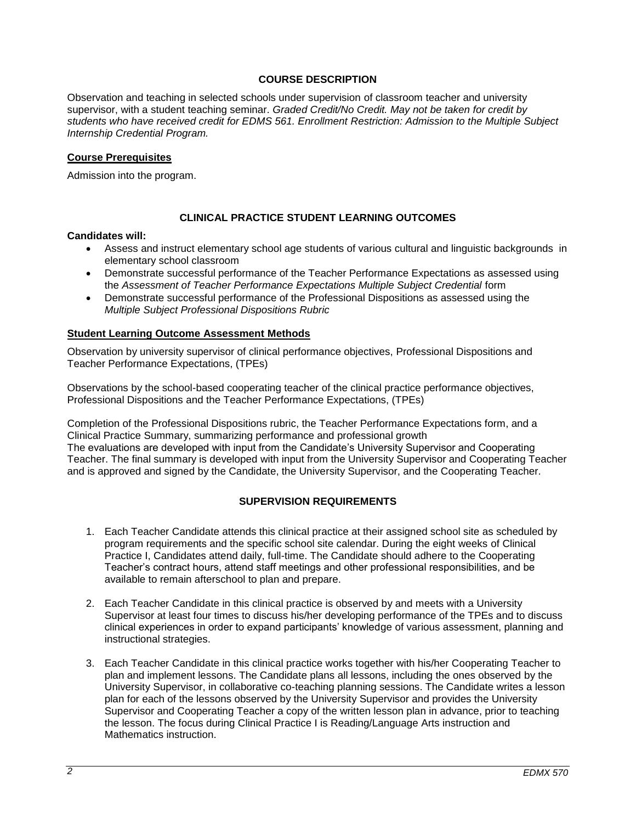# **COURSE DESCRIPTION**

Observation and teaching in selected schools under supervision of classroom teacher and university supervisor, with a student teaching seminar. *Graded Credit/No Credit. May not be taken for credit by students who have received credit for EDMS 561. Enrollment Restriction: Admission to the Multiple Subject Internship Credential Program.*

### **Course Prerequisites**

Admission into the program.

## **CLINICAL PRACTICE STUDENT LEARNING OUTCOMES**

#### **Candidates will:**

- Assess and instruct elementary school age students of various cultural and linguistic backgrounds in elementary school classroom
- Demonstrate successful performance of the Teacher Performance Expectations as assessed using the *Assessment of Teacher Performance Expectations Multiple Subject Credential* form
- Demonstrate successful performance of the Professional Dispositions as assessed using the *Multiple Subject Professional Dispositions Rubric*

### **Student Learning Outcome Assessment Methods**

Observation by university supervisor of clinical performance objectives, Professional Dispositions and Teacher Performance Expectations, (TPEs)

Observations by the school-based cooperating teacher of the clinical practice performance objectives, Professional Dispositions and the Teacher Performance Expectations, (TPEs)

Completion of the Professional Dispositions rubric, the Teacher Performance Expectations form, and a Clinical Practice Summary, summarizing performance and professional growth The evaluations are developed with input from the Candidate's University Supervisor and Cooperating Teacher. The final summary is developed with input from the University Supervisor and Cooperating Teacher and is approved and signed by the Candidate, the University Supervisor, and the Cooperating Teacher.

## **SUPERVISION REQUIREMENTS**

- 1. Each Teacher Candidate attends this clinical practice at their assigned school site as scheduled by program requirements and the specific school site calendar. During the eight weeks of Clinical Practice I, Candidates attend daily, full-time. The Candidate should adhere to the Cooperating Teacher's contract hours, attend staff meetings and other professional responsibilities, and be available to remain afterschool to plan and prepare.
- 2. Each Teacher Candidate in this clinical practice is observed by and meets with a University Supervisor at least four times to discuss his/her developing performance of the TPEs and to discuss clinical experiences in order to expand participants' knowledge of various assessment, planning and instructional strategies.
- 3. Each Teacher Candidate in this clinical practice works together with his/her Cooperating Teacher to plan and implement lessons. The Candidate plans all lessons, including the ones observed by the University Supervisor, in collaborative co-teaching planning sessions. The Candidate writes a lesson plan for each of the lessons observed by the University Supervisor and provides the University Supervisor and Cooperating Teacher a copy of the written lesson plan in advance, prior to teaching the lesson. The focus during Clinical Practice I is Reading/Language Arts instruction and Mathematics instruction.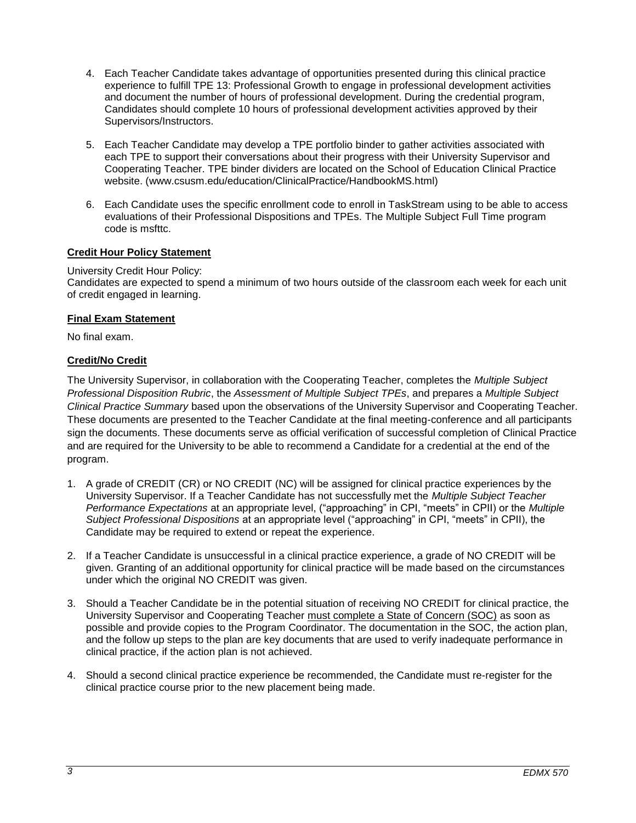- 4. Each Teacher Candidate takes advantage of opportunities presented during this clinical practice experience to fulfill TPE 13: Professional Growth to engage in professional development activities and document the number of hours of professional development. During the credential program, Candidates should complete 10 hours of professional development activities approved by their Supervisors/Instructors.
- 5. Each Teacher Candidate may develop a TPE portfolio binder to gather activities associated with each TPE to support their conversations about their progress with their University Supervisor and Cooperating Teacher. TPE binder dividers are located on the School of Education Clinical Practice website. (www.csusm.edu/education/ClinicalPractice/HandbookMS.html)
- 6. Each Candidate uses the specific enrollment code to enroll in TaskStream using to be able to access evaluations of their Professional Dispositions and TPEs. The Multiple Subject Full Time program code is msfttc.

# **Credit Hour Policy Statement**

## University Credit Hour Policy:

Candidates are expected to spend a minimum of two hours outside of the classroom each week for each unit of credit engaged in learning.

## **Final Exam Statement**

No final exam.

# **Credit/No Credit**

The University Supervisor, in collaboration with the Cooperating Teacher, completes the *Multiple Subject Professional Disposition Rubric*, the *Assessment of Multiple Subject TPEs*, and prepares a *Multiple Subject Clinical Practice Summary* based upon the observations of the University Supervisor and Cooperating Teacher. These documents are presented to the Teacher Candidate at the final meeting-conference and all participants sign the documents. These documents serve as official verification of successful completion of Clinical Practice and are required for the University to be able to recommend a Candidate for a credential at the end of the program.

- 1. A grade of CREDIT (CR) or NO CREDIT (NC) will be assigned for clinical practice experiences by the University Supervisor. If a Teacher Candidate has not successfully met the *Multiple Subject Teacher Performance Expectations* at an appropriate level, ("approaching" in CPI, "meets" in CPII) or the *Multiple Subject Professional Dispositions* at an appropriate level ("approaching" in CPI, "meets" in CPII), the Candidate may be required to extend or repeat the experience.
- 2. If a Teacher Candidate is unsuccessful in a clinical practice experience, a grade of NO CREDIT will be given. Granting of an additional opportunity for clinical practice will be made based on the circumstances under which the original NO CREDIT was given.
- 3. Should a Teacher Candidate be in the potential situation of receiving NO CREDIT for clinical practice, the University Supervisor and Cooperating Teacher must complete a State of Concern (SOC) as soon as possible and provide copies to the Program Coordinator. The documentation in the SOC, the action plan, and the follow up steps to the plan are key documents that are used to verify inadequate performance in clinical practice, if the action plan is not achieved.
- 4. Should a second clinical practice experience be recommended, the Candidate must re-register for the clinical practice course prior to the new placement being made.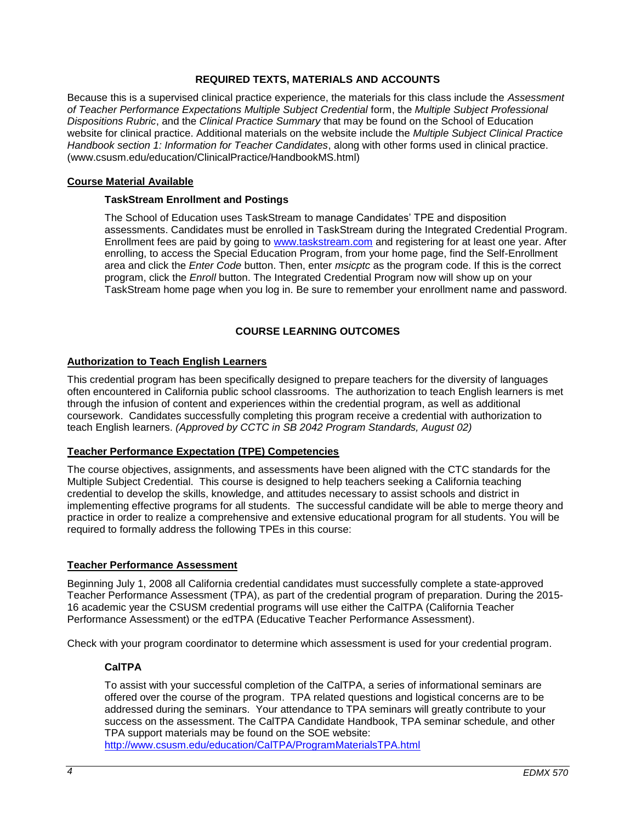# **REQUIRED TEXTS, MATERIALS AND ACCOUNTS**

Because this is a supervised clinical practice experience, the materials for this class include the *Assessment of Teacher Performance Expectations Multiple Subject Credential* form, the *Multiple Subject Professional Dispositions Rubric*, and the *Clinical Practice Summary* that may be found on the School of Education website for clinical practice. Additional materials on the website include the *Multiple Subject Clinical Practice Handbook section 1: Information for Teacher Candidates*, along with other forms used in clinical practice. (www.csusm.edu/education/ClinicalPractice/HandbookMS.html)

### **Course Material Available**

## **TaskStream Enrollment and Postings**

The School of Education uses TaskStream to manage Candidates' TPE and disposition assessments. Candidates must be enrolled in TaskStream during the Integrated Credential Program. Enrollment fees are paid by going to [www.taskstream.com](http://www.taskstrem.com/) and registering for at least one year. After enrolling, to access the Special Education Program, from your home page, find the Self-Enrollment area and click the *Enter Code* button. Then, enter *msicptc* as the program code. If this is the correct program, click the *Enroll* button. The Integrated Credential Program now will show up on your TaskStream home page when you log in. Be sure to remember your enrollment name and password.

# **COURSE LEARNING OUTCOMES**

### **Authorization to Teach English Learners**

This credential program has been specifically designed to prepare teachers for the diversity of languages often encountered in California public school classrooms. The authorization to teach English learners is met through the infusion of content and experiences within the credential program, as well as additional coursework. Candidates successfully completing this program receive a credential with authorization to teach English learners. *(Approved by CCTC in SB 2042 Program Standards, August 02)*

### **Teacher Performance Expectation (TPE) Competencies**

The course objectives, assignments, and assessments have been aligned with the CTC standards for the Multiple Subject Credential. This course is designed to help teachers seeking a California teaching credential to develop the skills, knowledge, and attitudes necessary to assist schools and district in implementing effective programs for all students. The successful candidate will be able to merge theory and practice in order to realize a comprehensive and extensive educational program for all students. You will be required to formally address the following TPEs in this course:

### **Teacher Performance Assessment**

Beginning July 1, 2008 all California credential candidates must successfully complete a state-approved Teacher Performance Assessment (TPA), as part of the credential program of preparation. During the 2015- 16 academic year the CSUSM credential programs will use either the CalTPA (California Teacher Performance Assessment) or the edTPA (Educative Teacher Performance Assessment).

Check with your program coordinator to determine which assessment is used for your credential program.

# **CalTPA**

To assist with your successful completion of the CalTPA, a series of informational seminars are offered over the course of the program. TPA related questions and logistical concerns are to be addressed during the seminars. Your attendance to TPA seminars will greatly contribute to your success on the assessment. The CalTPA Candidate Handbook, TPA seminar schedule, and other TPA support materials may be found on the SOE website:

<http://www.csusm.edu/education/CalTPA/ProgramMaterialsTPA.html>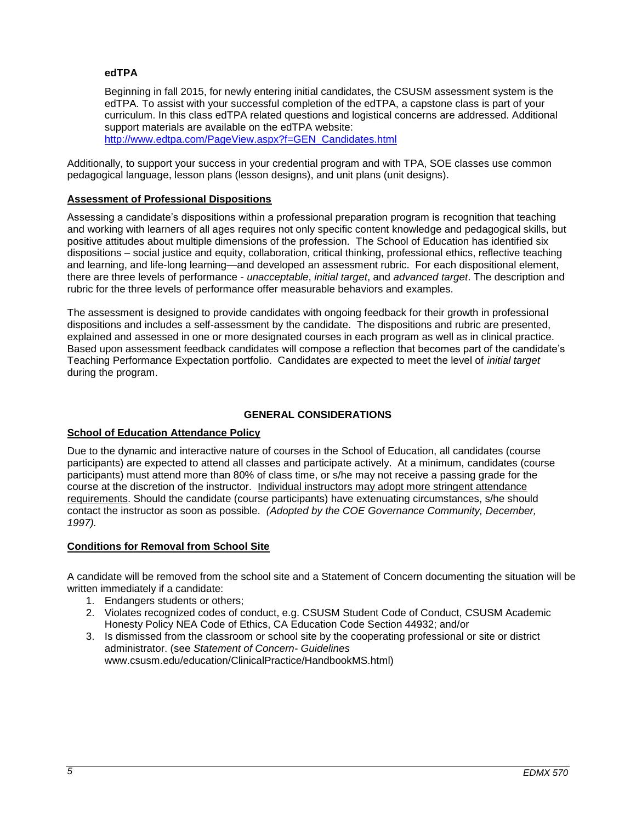## **edTPA**

Beginning in fall 2015, for newly entering initial candidates, the CSUSM assessment system is the edTPA. To assist with your successful completion of the edTPA, a capstone class is part of your curriculum. In this class edTPA related questions and logistical concerns are addressed. Additional support materials are available on the edTPA website: [http://www.edtpa.com/PageView.aspx?f=GEN\\_Candidates.html](http://www.edtpa.com/PageView.aspx?f=GEN_Candidates.html)

Additionally, to support your success in your credential program and with TPA, SOE classes use common pedagogical language, lesson plans (lesson designs), and unit plans (unit designs).

## **Assessment of Professional Dispositions**

Assessing a candidate's dispositions within a professional preparation program is recognition that teaching and working with learners of all ages requires not only specific content knowledge and pedagogical skills, but positive attitudes about multiple dimensions of the profession. The School of Education has identified six dispositions – social justice and equity, collaboration, critical thinking, professional ethics, reflective teaching and learning, and life-long learning—and developed an assessment rubric. For each dispositional element, there are three levels of performance - *unacceptable*, *initial target*, and *advanced target*. The description and rubric for the three levels of performance offer measurable behaviors and examples.

The assessment is designed to provide candidates with ongoing feedback for their growth in professional dispositions and includes a self-assessment by the candidate. The dispositions and rubric are presented, explained and assessed in one or more designated courses in each program as well as in clinical practice. Based upon assessment feedback candidates will compose a reflection that becomes part of the candidate's Teaching Performance Expectation portfolio. Candidates are expected to meet the level of *initial target* during the program.

# **GENERAL CONSIDERATIONS**

### **School of Education Attendance Policy**

Due to the dynamic and interactive nature of courses in the School of Education, all candidates (course participants) are expected to attend all classes and participate actively. At a minimum, candidates (course participants) must attend more than 80% of class time, or s/he may not receive a passing grade for the course at the discretion of the instructor. Individual instructors may adopt more stringent attendance requirements. Should the candidate (course participants) have extenuating circumstances, s/he should contact the instructor as soon as possible. *(Adopted by the COE Governance Community, December, 1997).*

### **Conditions for Removal from School Site**

A candidate will be removed from the school site and a Statement of Concern documenting the situation will be written immediately if a candidate:

- 1. Endangers students or others;
- 2. Violates recognized codes of conduct, e.g. CSUSM Student Code of Conduct, CSUSM Academic Honesty Policy NEA Code of Ethics, CA Education Code Section 44932; and/or
- 3. Is dismissed from the classroom or school site by the cooperating professional or site or district administrator. (see *Statement of Concern- Guidelines* www.csusm.edu/education/ClinicalPractice/HandbookMS.html)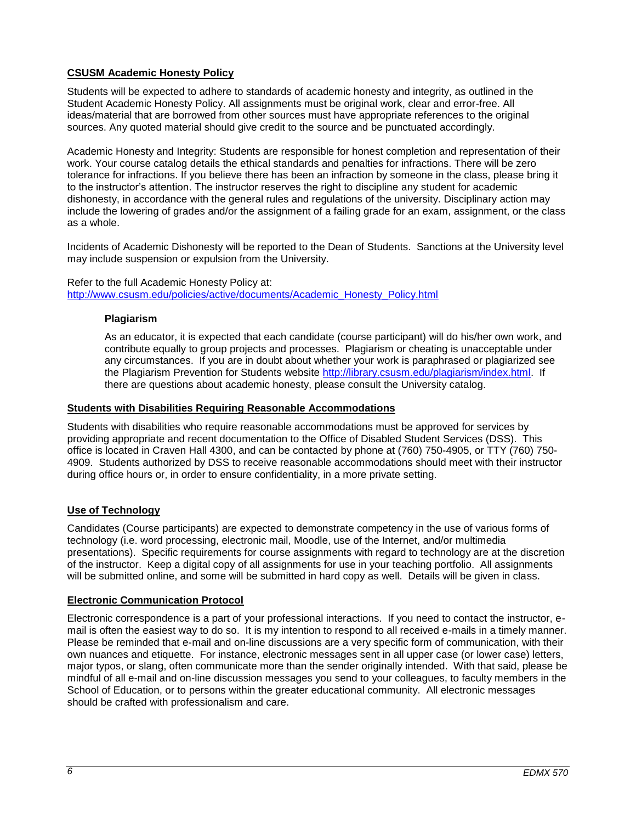# **CSUSM Academic Honesty Policy**

Students will be expected to adhere to standards of academic honesty and integrity, as outlined in the Student Academic Honesty Policy. All assignments must be original work, clear and error-free. All ideas/material that are borrowed from other sources must have appropriate references to the original sources. Any quoted material should give credit to the source and be punctuated accordingly.

Academic Honesty and Integrity: Students are responsible for honest completion and representation of their work. Your course catalog details the ethical standards and penalties for infractions. There will be zero tolerance for infractions. If you believe there has been an infraction by someone in the class, please bring it to the instructor's attention. The instructor reserves the right to discipline any student for academic dishonesty, in accordance with the general rules and regulations of the university. Disciplinary action may include the lowering of grades and/or the assignment of a failing grade for an exam, assignment, or the class as a whole.

Incidents of Academic Dishonesty will be reported to the Dean of Students. Sanctions at the University level may include suspension or expulsion from the University.

### Refer to the full Academic Honesty Policy at: [http://www.csusm.edu/policies/active/documents/Academic\\_Honesty\\_Policy.html](http://www.csusm.edu/policies/active/documents/Academic_Honesty_Policy.html)

## **Plagiarism**

As an educator, it is expected that each candidate (course participant) will do his/her own work, and contribute equally to group projects and processes. Plagiarism or cheating is unacceptable under any circumstances. If you are in doubt about whether your work is paraphrased or plagiarized see the Plagiarism Prevention for Students website [http://library.csusm.edu/plagiarism/index.html.](http://library.csusm.edu/plagiarism/index.html) If there are questions about academic honesty, please consult the University catalog.

### **Students with Disabilities Requiring Reasonable Accommodations**

Students with disabilities who require reasonable accommodations must be approved for services by providing appropriate and recent documentation to the Office of Disabled Student Services (DSS). This office is located in Craven Hall 4300, and can be contacted by phone at (760) 750-4905, or TTY (760) 750- 4909. Students authorized by DSS to receive reasonable accommodations should meet with their instructor during office hours or, in order to ensure confidentiality, in a more private setting.

# **Use of Technology**

Candidates (Course participants) are expected to demonstrate competency in the use of various forms of technology (i.e. word processing, electronic mail, Moodle, use of the Internet, and/or multimedia presentations). Specific requirements for course assignments with regard to technology are at the discretion of the instructor. Keep a digital copy of all assignments for use in your teaching portfolio. All assignments will be submitted online, and some will be submitted in hard copy as well. Details will be given in class.

# **Electronic Communication Protocol**

Electronic correspondence is a part of your professional interactions. If you need to contact the instructor, email is often the easiest way to do so. It is my intention to respond to all received e-mails in a timely manner. Please be reminded that e-mail and on-line discussions are a very specific form of communication, with their own nuances and etiquette. For instance, electronic messages sent in all upper case (or lower case) letters, major typos, or slang, often communicate more than the sender originally intended. With that said, please be mindful of all e-mail and on-line discussion messages you send to your colleagues, to faculty members in the School of Education, or to persons within the greater educational community. All electronic messages should be crafted with professionalism and care.